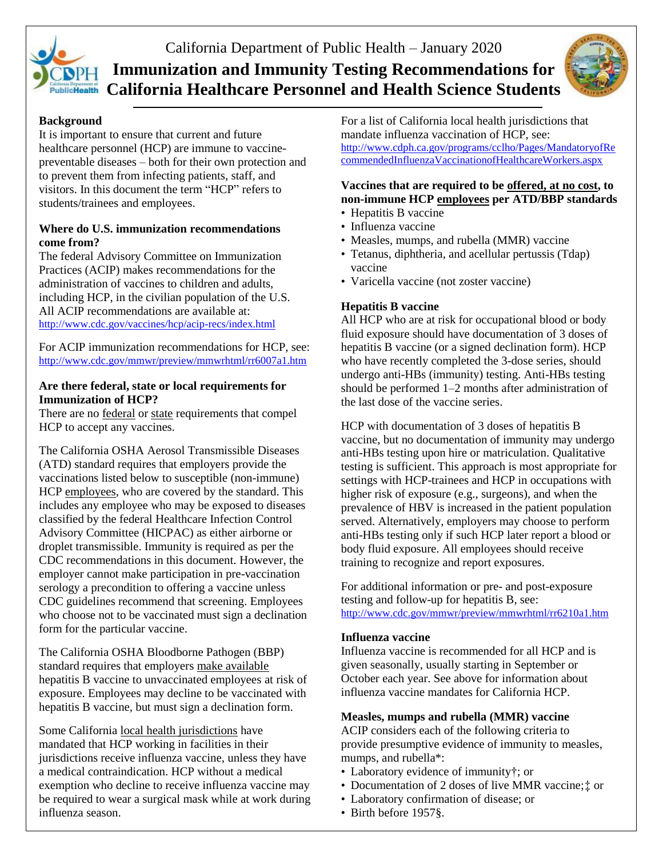

# California Department of Public Health – January 2020 **Immunization and Immunity Testing Recommendations for PublicHealth California Healthcare Personnel and Health Science Students**



## **Background**

It is important to ensure that current and future healthcare personnel (HCP) are immune to vaccinepreventable diseases – both for their own protection and to prevent them from infecting patients, staff, and visitors. In this document the term "HCP" refers to students/trainees and employees.

## **Where do U.S. immunization recommendations come from?**

The federal Advisory Committee on Immunization Practices (ACIP) makes recommendations for the administration of vaccines to children and adults, including HCP, in the civilian population of the U.S. All ACIP recommendations are available at: <http://www.cdc.gov/vaccines/hcp/acip-recs/index.html>

For ACIP immunization recommendations for HCP, see: <http://www.cdc.gov/mmwr/preview/mmwrhtml/rr6007a1.htm>

### **Are there federal, state or local requirements for Immunization of HCP?**

There are no federal or state requirements that compel HCP to accept any vaccines.

The California OSHA Aerosol Transmissible Diseases (ATD) standard requires that employers provide the vaccinations listed below to susceptible (non-immune) HCP employees, who are covered by the standard. This includes any employee who may be exposed to diseases classified by the federal Healthcare Infection Control Advisory Committee (HICPAC) as either airborne or droplet transmissible. Immunity is required as per the CDC recommendations in this document. However, the employer cannot make participation in pre-vaccination serology a precondition to offering a vaccine unless CDC guidelines recommend that screening. Employees who choose not to be vaccinated must sign a declination form for the particular vaccine.

The California OSHA Bloodborne Pathogen (BBP) standard requires that employers make available hepatitis B vaccine to unvaccinated employees at risk of exposure. Employees may decline to be vaccinated with hepatitis B vaccine, but must sign a declination form.

Some California local health jurisdictions have mandated that HCP working in facilities in their jurisdictions receive influenza vaccine, unless they have a medical contraindication. HCP without a medical exemption who decline to receive influenza vaccine may be required to wear a surgical mask while at work during influenza season.

For a list of California local health jurisdictions that mandate influenza vaccination of HCP, see: [http://www.cdph.ca.gov/programs/cclho/Pages/MandatoryofRe](http://www.cdph.ca.gov/programs/cclho/Pages/MandatoryofRecommendedInfluenzaVaccinationofHealthcareWorkers.aspx) [commendedInfluenzaVaccinationofHealthcareWorkers.aspx](http://www.cdph.ca.gov/programs/cclho/Pages/MandatoryofRecommendedInfluenzaVaccinationofHealthcareWorkers.aspx)

## **Vaccines that are required to be offered, at no cost, to non-immune HCP employees per ATD/BBP standards**

- Hepatitis B vaccine
- Influenza vaccine
- Measles, mumps, and rubella (MMR) vaccine
- Tetanus, diphtheria, and acellular pertussis (Tdap) vaccine
- Varicella vaccine (not zoster vaccine)

# **Hepatitis B vaccine**

All HCP who are at risk for occupational blood or body fluid exposure should have documentation of 3 doses of hepatitis B vaccine (or a signed declination form). HCP who have recently completed the 3-dose series, should undergo anti-HBs (immunity) testing. Anti-HBs testing should be performed 1–2 months after administration of the last dose of the vaccine series.

HCP with documentation of 3 doses of hepatitis B vaccine, but no documentation of immunity may undergo anti-HBs testing upon hire or matriculation. Qualitative testing is sufficient. This approach is most appropriate for settings with HCP-trainees and HCP in occupations with higher risk of exposure (e.g., surgeons), and when the prevalence of HBV is increased in the patient population served. Alternatively, employers may choose to perform anti-HBs testing only if such HCP later report a blood or body fluid exposure. All employees should receive training to recognize and report exposures.

For additional information or pre- and post-exposure testing and follow-up for hepatitis B, see: <http://www.cdc.gov/mmwr/preview/mmwrhtml/rr6210a1.htm>

### **Influenza vaccine**

Influenza vaccine is recommended for all HCP and is given seasonally, usually starting in September or October each year. See above for information about influenza vaccine mandates for California HCP.

## **Measles, mumps and rubella (MMR) vaccine**

ACIP considers each of the following criteria to provide presumptive evidence of immunity to measles, mumps, and rubella\*:

- Laboratory evidence of immunity†; or
- Documentation of 2 doses of live MMR vaccine;‡ or
- Laboratory confirmation of disease; or
- Birth before 1957§.